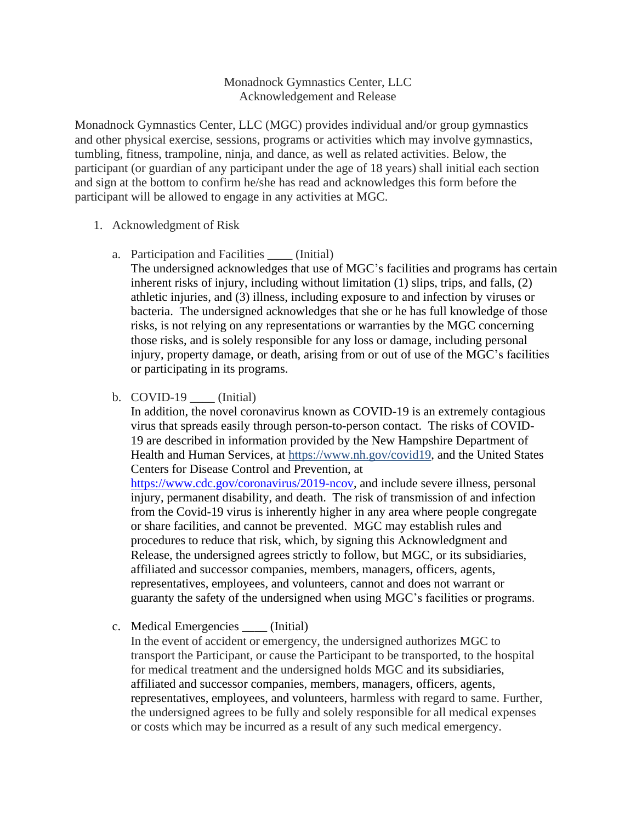## Monadnock Gymnastics Center, LLC Acknowledgement and Release

Monadnock Gymnastics Center, LLC (MGC) provides individual and/or group gymnastics and other physical exercise, sessions, programs or activities which may involve gymnastics, tumbling, fitness, trampoline, ninja, and dance, as well as related activities. Below, the participant (or guardian of any participant under the age of 18 years) shall initial each section and sign at the bottom to confirm he/she has read and acknowledges this form before the participant will be allowed to engage in any activities at MGC.

## 1. Acknowledgment of Risk

a. Participation and Facilities \_\_\_\_ (Initial)

The undersigned acknowledges that use of MGC's facilities and programs has certain inherent risks of injury, including without limitation (1) slips, trips, and falls, (2) athletic injuries, and (3) illness, including exposure to and infection by viruses or bacteria. The undersigned acknowledges that she or he has full knowledge of those risks, is not relying on any representations or warranties by the MGC concerning those risks, and is solely responsible for any loss or damage, including personal injury, property damage, or death, arising from or out of use of the MGC's facilities or participating in its programs.

b. COVID-19 (Initial)

In addition, the novel coronavirus known as COVID-19 is an extremely contagious virus that spreads easily through person-to-person contact. The risks of COVID-19 are described in information provided by the New Hampshire Department of Health and Human Services, at https://www.nh.gov/covid19, and the United States Centers for Disease Control and Prevention, at

[https://www.cdc.gov/coronavirus/2019-ncov,](https://www.cdc.gov/coronavirus/2019-ncov) and include severe illness, personal injury, permanent disability, and death. The risk of transmission of and infection from the Covid-19 virus is inherently higher in any area where people congregate or share facilities, and cannot be prevented. MGC may establish rules and procedures to reduce that risk, which, by signing this Acknowledgment and Release, the undersigned agrees strictly to follow, but MGC, or its subsidiaries, affiliated and successor companies, members, managers, officers, agents, representatives, employees, and volunteers, cannot and does not warrant or guaranty the safety of the undersigned when using MGC's facilities or programs.

c. Medical Emergencies \_\_\_\_ (Initial)

In the event of accident or emergency, the undersigned authorizes MGC to transport the Participant, or cause the Participant to be transported, to the hospital for medical treatment and the undersigned holds MGC and its subsidiaries, affiliated and successor companies, members, managers, officers, agents, representatives, employees, and volunteers, harmless with regard to same. Further, the undersigned agrees to be fully and solely responsible for all medical expenses or costs which may be incurred as a result of any such medical emergency.